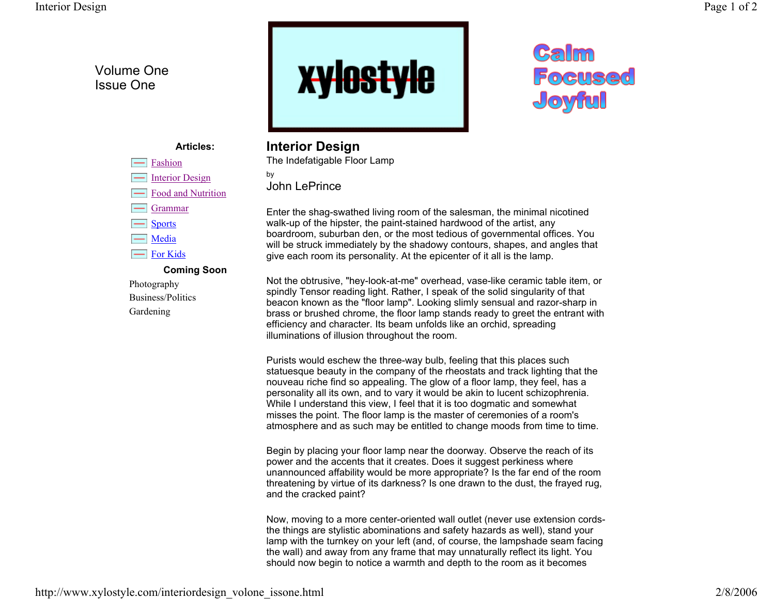## Volume One Issue One

**Articles:**

**Coming Soon**

Fashion

GrammarSports Media For Kids

---

Photography Business/PoliticsGardening

Interior Design Food and Nutrition



## Calm **Focused** Joyful

## **Interior Design**

The Indefatigable Floor Lamp by John LePrince

Enter the shag-swathed living room of the salesman, the minimal nicotined walk-up of the hipster, the paint-stained hardwood of the artist, any boardroom, suburban den, or the most tedious of governmental offices. You will be struck immediately by the shadowy contours, shapes, and angles that give each room its personality. At the epicenter of it all is the lamp.

Not the obtrusive, "hey-look-at-me" overhead, vase-like ceramic table item, or spindly Tensor reading light. Rather, I speak of the solid singularity of that beacon known as the "floor lamp". Looking slimly sensual and razor-sharp in brass or brushed chrome, the floor lamp stands ready to greet the entrant with efficiency and character. Its beam unfolds like an orchid, spreading illuminations of illusion throughout the room.

Purists would eschew the three-way bulb, feeling that this places such statuesque beauty in the company of the rheostats and track lighting that the nouveau riche find so appealing. The glow of a floor lamp, they feel, has a personality all its own, and to vary it would be akin to lucent schizophrenia. While I understand this view, I feel that it is too dogmatic and somewhat misses the point. The floor lamp is the master of ceremonies of a room's atmosphere and as such may be entitled to change moods from time to time.

Begin by placing your floor lamp near the doorway. Observe the reach of its power and the accents that it creates. Does it suggest perkiness where unannounced affability would be more appropriate? Is the far end of the room threatening by virtue of its darkness? Is one drawn to the dust, the frayed rug, and the cracked paint?

Now, moving to a more center-oriented wall outlet (never use extension cordsthe things are stylistic abominations and safety hazards as well), stand your lamp with the turnkey on your left (and, of course, the lampshade seam facing the wall) and away from any frame that may unnaturally reflect its light. You should now begin to notice a warmth and depth to the room as it becomes